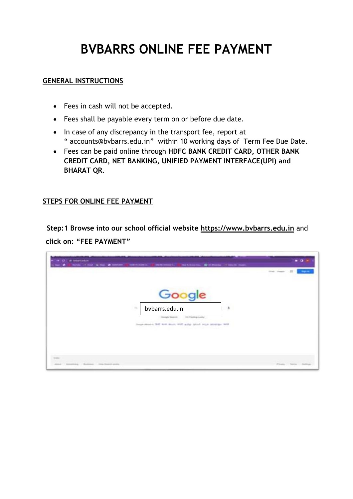# **BVBARRS ONLINE FEE PAYMENT**

#### **GENERAL INSTRUCTIONS**

- Fees in cash will not be accepted.
- Fees shall be payable every term on or before due date.
- In case of any discrepancy in the transport fee, report at " [accounts@bvbarrs.edu.in](mailto:accounts@bvbarrs.edu.in)" within 10 working days of Term Fee Due Date.
- Fees can be paid online through **HDFC BANK CREDIT CARD, OTHER BANK CREDIT CARD, NET BANKING, UNIFIED PAYMENT INTERFACE(UPI) and BHARAT QR**.

#### **STEPS FOR ONLINE FEE PAYMENT**

**Step:1 Browse into our school official website https://www.bvbarrs.edu.in** and **click on: "FEE PAYMENT"**

| <b>C.</b> in Manufact<br><b>RESAINANCE: EX IN MANAGER COMPANY MANAGER</b><br><b><i>SERVICES</i></b><br>.<br>--                                                       | $\bullet$ all-<br><b>State County</b> |
|----------------------------------------------------------------------------------------------------------------------------------------------------------------------|---------------------------------------|
| Google<br>$\overline{\phantom{a}}$<br>bvbarrs.edu.in<br>×<br>All cheesing Lasky<br>Georgia Season.<br>Inspiration's Bill with multi and and print in the prompt ford |                                       |
| <b>Distance</b>                                                                                                                                                      |                                       |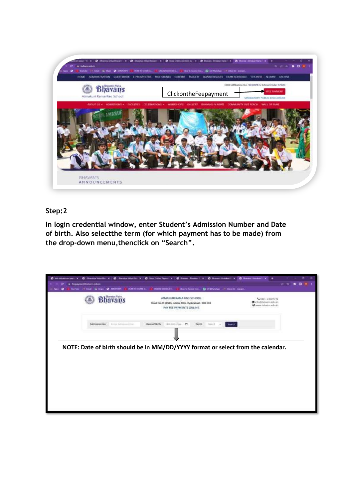

#### **Step:2**

**In login credential window, enter Student's Admission Number and Date of birth. Also selectthe term (for which payment has to be made) from the drop-down menu,thenclick on "Search".**

| batti competitiveni papi - Ta<br><b>Martinia</b> | C Henry Visito H. S. Berty History, X.<br>Fernany resolutions and also<br><b>Chi AMSHIRINI</b><br><b><i>HUMCHO HIMALIA</i></b> | @ Honor Amount x @ Honor Station x  <br><b>Committee forms</b> of<br>His VAINER G. C. Photograph - I movie coupe.<br><b>LINE INFORMATION</b> | <b>Comment America</b>                                         |  | . . |  |
|--------------------------------------------------|--------------------------------------------------------------------------------------------------------------------------------|----------------------------------------------------------------------------------------------------------------------------------------------|----------------------------------------------------------------|--|-----|--|
|                                                  | <b>Skamptons Victor</b>                                                                                                        | ATMAXURI SAMA RAD SCHOOL<br>Road No.45 (END), jubiles Hills, Hyderabied - 500 033.<br><b><i>PAY FEE PAYMENTS ONLINE</i></b>                  | C010 - 2382772<br>Trivobidum situm<br>Choose technicia aska in |  |     |  |
|                                                  | Admission Ass., In the Admission Fac.                                                                                          | HLI-WW D<br>Smith<br>Date of Birth<br>Farmt                                                                                                  |                                                                |  |     |  |
|                                                  |                                                                                                                                | NOTE: Date of birth should be in MM/DD/YYYY format or select from the calendar.                                                              |                                                                |  |     |  |
|                                                  |                                                                                                                                |                                                                                                                                              |                                                                |  |     |  |
|                                                  |                                                                                                                                |                                                                                                                                              |                                                                |  |     |  |
|                                                  |                                                                                                                                |                                                                                                                                              |                                                                |  |     |  |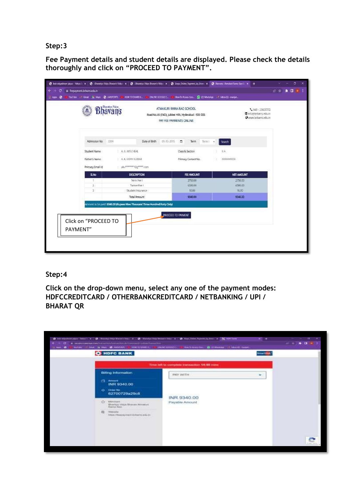#### **Step:3**

**Fee Payment details and student details are displayed. Please check the details thoroughly and click on "PROCEED TO PAYMENT".**

| <b>Li Aus &amp;</b> |                                                          | YATUM CONF A MAIL & MISCOS & HOVTOSHAEG. @                                 |                                                                                                              |                    |                                        |       | ONINE CODEE C. IN How to Access Cost. @ 23 Whenline # # 9box 83 marget. |                    |  |
|---------------------|----------------------------------------------------------|----------------------------------------------------------------------------|--------------------------------------------------------------------------------------------------------------|--------------------|----------------------------------------|-------|-------------------------------------------------------------------------|--------------------|--|
|                     | <b>Bhavans</b>                                           |                                                                            | ATMAKURI RAMA RAO SCHOOL<br>Road No.45 (END), Jubilee Hills, Hyderabad - 500 033.<br>PAY FEE PAYMENTS ONLINE |                    |                                        |       | L 640 - 23607772<br>■ info@bybans.edu.m<br>@www.bibans.edu.in           |                    |  |
|                     | Admission No                                             | $-1299$                                                                    | Date of Birth                                                                                                | 参加加压 口             | Term                                   | Temit | Starth                                                                  |                    |  |
|                     | Student Name<br>Father's Name<br><b>Primary Email Id</b> | A II MISTHEAL<br>A K LIDAYKUMAR<br>aku <sup>mman</sup> @gmm.com            |                                                                                                              |                    | Class & Section<br>Primary Contact No. |       | 88<br>XXXXXXXX<br>ч.                                                    |                    |  |
|                     | <b>SLNo</b>                                              |                                                                            | <b>DESCRIPTION</b>                                                                                           |                    | FEE AMOUNT                             |       |                                                                         | <b>NET AMOUNT</b>  |  |
|                     | t<br>21                                                  |                                                                            | Term Fee I<br>Turzon Fee L                                                                                   |                    | 2750.00<br>6580.00                     |       |                                                                         | 2750.00<br>4589.00 |  |
|                     | 31                                                       |                                                                            | Student Insurance<br>Total Amount                                                                            |                    | 10.00<br>9340.00                       |       |                                                                         | 10.00<br>9340.00   |  |
| PAYMENT"            | Click on "PROCEED TO                                     | Amount to be paid: 9340.00 (Rupees Nine Thousand Three Hundred Forty Only) |                                                                                                              | PROCEED TO PAYMENT |                                        |       |                                                                         |                    |  |

#### **Step:4**

**Click on the drop-down menu, select any one of the payment modes: HDFCCREDITCARD / OTHERBANKCREDITCARD / NETBANKING / UPI / BHARAT QR**

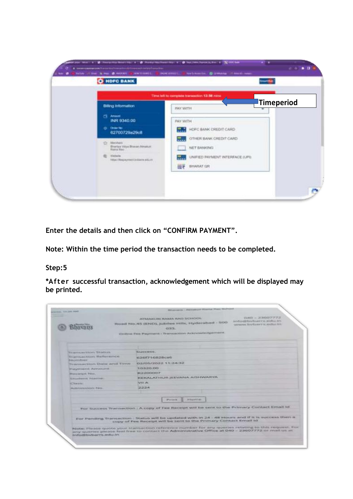

**Enter the details and then click on "CONFIRM PAYMENT".**

**Note: Within the time period the transaction needs to be completed.**

#### **Step:5**

**\*After successful transaction, acknowledgement which will be displayed may be printed.**

| service, wa cars made                                | <b>Structures - Recognized Mountain Moore Secretary</b>                                                                                                                                                                                                |  |  |
|------------------------------------------------------|--------------------------------------------------------------------------------------------------------------------------------------------------------------------------------------------------------------------------------------------------------|--|--|
|                                                      | $DAD = Z3007772$<br><b>ATTANALIBI MAAAA ILACI SICHOOL</b><br>Information Countries, Andrea Arts<br>Road Nn.45 (END), jubiles Hills, Hydersbad - 500<br>Welches Trutsary's andus int<br>43/8/78.1<br>Oritime Fee: Payment : Transaction Ackywadadgement |  |  |
|                                                      |                                                                                                                                                                                                                                                        |  |  |
| Weigensachlows Silabum.                              | SAMOUNTED.                                                                                                                                                                                                                                             |  |  |
| <b>Tramsaction Barberstree</b><br><b>Baksingtown</b> | のアのビアをの日ごろにはら                                                                                                                                                                                                                                          |  |  |
| Temponection Chiefer artist Tirebir                  | 02/05/2022 11:24:32                                                                                                                                                                                                                                    |  |  |
| <b>Inaugeness Armoryski</b>                          | 10320.00                                                                                                                                                                                                                                               |  |  |
| <b>Bluncelayd Nivy.</b>                              | <b>ROUNDOD</b>                                                                                                                                                                                                                                         |  |  |
| <b>Ninadazzot Nustrier</b>                           | KEKALATHUR JEEVANA AISHWARYA                                                                                                                                                                                                                           |  |  |
| <b>Class</b> .                                       | WIT.A.                                                                                                                                                                                                                                                 |  |  |
| Multimediate Mark Parks                              | 2224                                                                                                                                                                                                                                                   |  |  |
|                                                      |                                                                                                                                                                                                                                                        |  |  |
|                                                      | <b><i>B-RIGHTYSTEL</i></b><br>Present.                                                                                                                                                                                                                 |  |  |
|                                                      |                                                                                                                                                                                                                                                        |  |  |
|                                                      | For Success Trainaction : A copy of Fee Receipt will be sent to the Frimary Contact Email id.                                                                                                                                                          |  |  |
|                                                      |                                                                                                                                                                                                                                                        |  |  |
|                                                      | For Pending Transaction: Status will be updated with in 24 - 48 Hours and if it is success then a<br>copy of Fee Receipt will be sent to the Primary Contact Email ht                                                                                  |  |  |
| info@bvbarrs.edu.in                                  | Note: Please guoto your transaction reference humber for any queries relating to this request. For<br>any queries please feel free to contact the Administrative Office at 040 - 23607772 or mail us at                                                |  |  |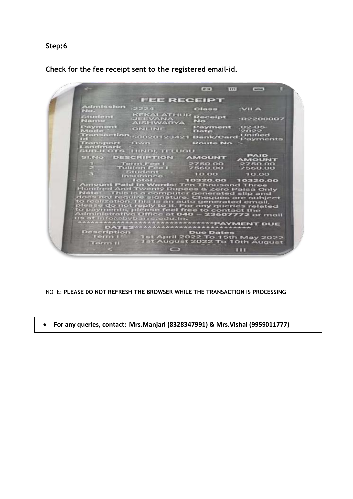**Step:6**

**Check for the fee receipt sent to the registered email-id.**

 $\blacksquare$  $\overline{w}$  $\blacksquare$ **FEE RECEIPT** sion  $:2224$ Class **IVILA** KEKALATHUR<br>JEEVANA<br>AISHWARYA NO eipt :R2200007 ent ONLINE Payment 02-05<br>| ONLINE Date 2022<br>| action 50020123421 Bank/Card Payments  $4881$ sport<br>mark Own **Route No** dmark<br>J.ECTS HINDI, TELUGU **PAID<br>40UNT** No DESCRIPTION AMOUNT 2750.00<br>7560.00 750.00<br>560.00 itudent<br>suranco<br>Totol 10.00  $10.00$ 10320.00 10320.00 Ten Thousand Three<br>Pees & Zero Paisa O nt Paid Twenty Rupees & Zero Paisa Only<br>This is a computer generated slip and<br>trequire signature. Cheques are subject<br>calion. This is an auto generated email,<br>control treply to it. For any queries related<br>annts, please fee ina Three<br>Id slip and<br>I are subject *\*PAYMENT DUE* riptio Du it April 2022 To 15th May 2022<br>It August 2022 To 10th August  $\Box$  $\overline{111}$ 

NOTE: **PLEASE DO NOT REFRESH THE BROWSER WHILE THE TRANSACTION IS PROCESSING**

**For any queries, contact: Mrs.Manjari (8328347991) & Mrs.Vishal (9959011777)**